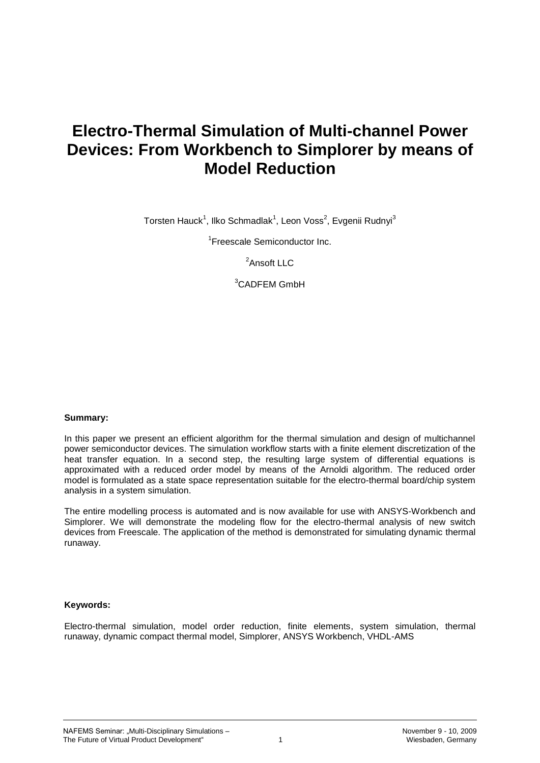# **Electro-Thermal Simulation of Multi-channel Power Devices: From Workbench to Simplorer by means of Model Reduction**

Torsten Hauck<sup>1</sup>, Ilko Schmadlak<sup>1</sup>, Leon Voss<sup>2</sup>, Evgenii Rudnyi<sup>3</sup>

<sup>1</sup>Freescale Semiconductor Inc.

<sup>2</sup>Ansoft LLC

<sup>3</sup>CADFEM GmbH

#### **Summary:**

In this paper we present an efficient algorithm for the thermal simulation and design of multichannel power semiconductor devices. The simulation workflow starts with a finite element discretization of the heat transfer equation. In a second step, the resulting large system of differential equations is approximated with a reduced order model by means of the Arnoldi algorithm. The reduced order model is formulated as a state space representation suitable for the electro-thermal board/chip system analysis in a system simulation.

The entire modelling process is automated and is now available for use with ANSYS-Workbench and Simplorer. We will demonstrate the modeling flow for the electro-thermal analysis of new switch devices from Freescale. The application of the method is demonstrated for simulating dynamic thermal runaway.

#### **Keywords:**

Electro-thermal simulation, model order reduction, finite elements, system simulation, thermal runaway, dynamic compact thermal model, Simplorer, ANSYS Workbench, VHDL-AMS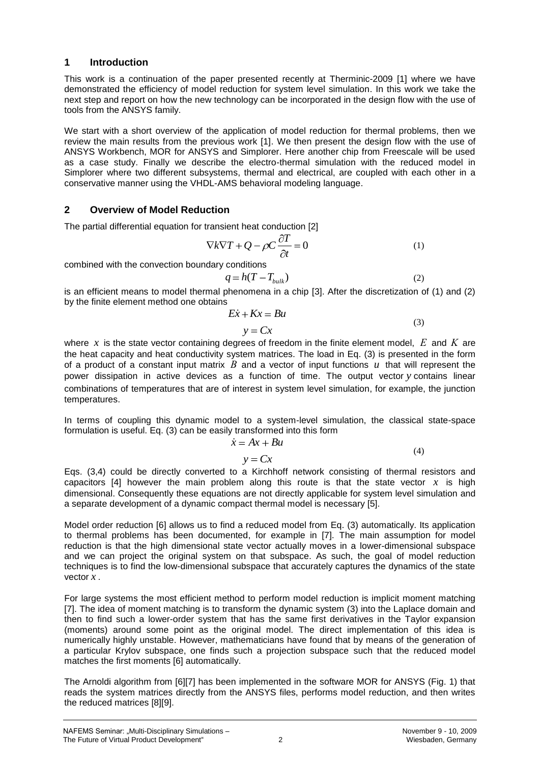### **1 Introduction**

This work is a continuation of the paper presented recently at Therminic-2009 [1] where we have demonstrated the efficiency of model reduction for system level simulation. In this work we take the next step and report on how the new technology can be incorporated in the design flow with the use of tools from the ANSYS family.

We start with a short overview of the application of model reduction for thermal problems, then we review the main results from the previous work [1]. We then present the design flow with the use of ANSYS Workbench, MOR for ANSYS and Simplorer. Here another chip from Freescale will be used as a case study. Finally we describe the electro-thermal simulation with the reduced model in Simplorer where two different subsystems, thermal and electrical, are coupled with each other in a conservative manner using the VHDL-AMS behavioral modeling language.

# **2 Overview of Model Reduction**

The partial differential equation for transient heat conduction [2]

$$
\nabla k \nabla T + Q - \rho C \frac{\partial T}{\partial t} = 0 \tag{1}
$$

combined with the convection boundary conditions

$$
q = h(T - T_{bulk})\tag{2}
$$

is an efficient means to model thermal phenomena in a chip [3]. After the discretization of (1) and (2) by the finite element method one obtains

$$
Ex + Kx = Bu
$$
  

$$
y = Cx
$$
 (3)

where x is the state vector containing degrees of freedom in the finite element model,  $E$  and  $K$  are the heat capacity and heat conductivity system matrices. The load in Eq. (3) is presented in the form of a product of a constant input matrix  $B$  and a vector of input functions  $u$  that will represent the power dissipation in active devices as a function of time. The output vector *y* contains linear combinations of temperatures that are of interest in system level simulation, for example, the junction temperatures.

In terms of coupling this dynamic model to a system-level simulation, the classical state-space formulation is useful. Eq. (3) can be easily transformed into this form

$$
\dot{x} = Ax + Bu \tag{4}
$$

 $y = Cx$ 

Eqs. (3,4) could be directly converted to a Kirchhoff network consisting of thermal resistors and capacitors  $[4]$  however the main problem along this route is that the state vector  $x$  is high dimensional. Consequently these equations are not directly applicable for system level simulation and a separate development of a dynamic compact thermal model is necessary [5].

Model order reduction [6] allows us to find a reduced model from Eq. (3) automatically. Its application to thermal problems has been documented, for example in [7]. The main assumption for model reduction is that the high dimensional state vector actually moves in a lower-dimensional subspace and we can project the original system on that subspace. As such, the goal of model reduction techniques is to find the low-dimensional subspace that accurately captures the dynamics of the state vector *x* .

For large systems the most efficient method to perform model reduction is implicit moment matching [7]. The idea of moment matching is to transform the dynamic system (3) into the Laplace domain and then to find such a lower-order system that has the same first derivatives in the Taylor expansion (moments) around some point as the original model. The direct implementation of this idea is numerically highly unstable. However, mathematicians have found that by means of the generation of a particular Krylov subspace, one finds such a projection subspace such that the reduced model matches the first moments [6] automatically.

The Arnoldi algorithm from [6][7] has been implemented in the software MOR for ANSYS (Fig. 1) that reads the system matrices directly from the ANSYS files, performs model reduction, and then writes the reduced matrices [8][9].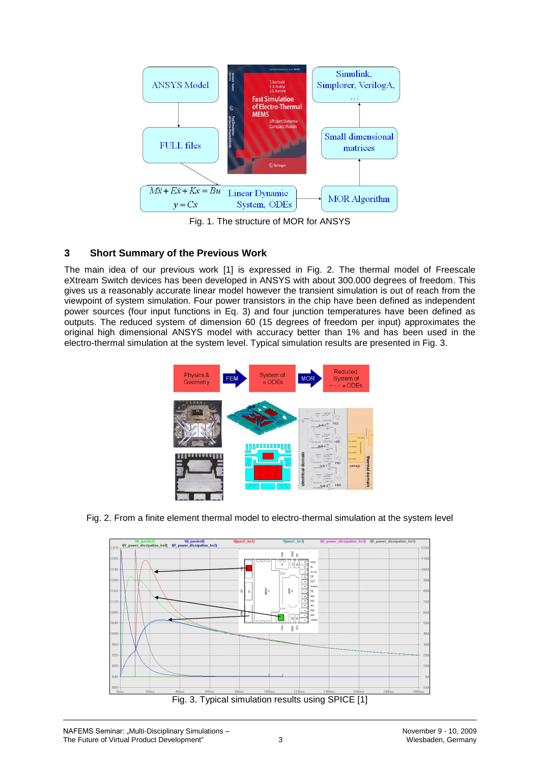

Fig. 1. The structure of MOR for ANSYS

# **3 Short Summary of the Previous Work**

The main idea of our previous work [1] is expressed in Fig. 2. The thermal model of Freescale eXtream Switch devices has been developed in ANSYS with about 300.000 degrees of freedom. This gives us a reasonably accurate linear model however the transient simulation is out of reach from the viewpoint of system simulation. Four power transistors in the chip have been defined as independent power sources (four input functions in Eq. 3) and four junction temperatures have been defined as outputs. The reduced system of dimension 60 (15 degrees of freedom per input) approximates the original high dimensional ANSYS model with accuracy better than 1% and has been used in the electro-thermal simulation at the system level. Typical simulation results are presented in Fig. 3.



Fig. 2. From a finite element thermal model to electro-thermal simulation at the system level



Fig. 3. Typical simulation results using SPICE [1]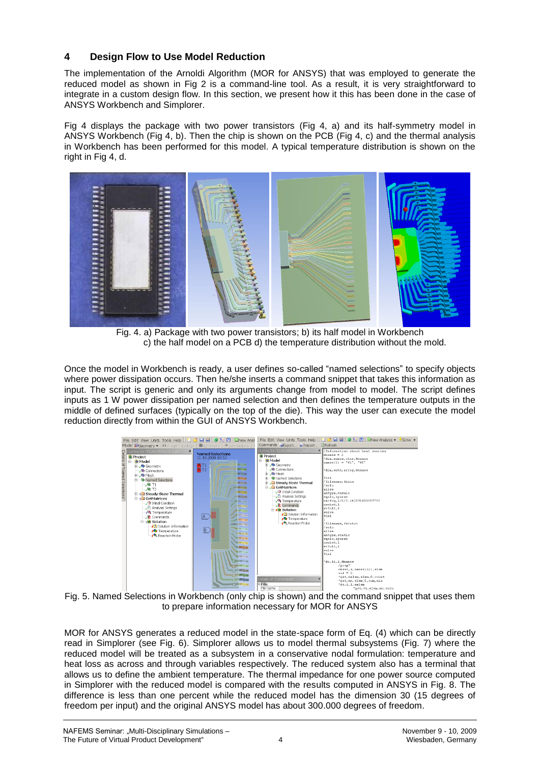# **4 Design Flow to Use Model Reduction**

The implementation of the Arnoldi Algorithm (MOR for ANSYS) that was employed to generate the reduced model as shown in Fig 2 is a command-line tool. As a result, it is very straightforward to integrate in a custom design flow. In this section, we present how it this has been done in the case of ANSYS Workbench and Simplorer.

Fig 4 displays the package with two power transistors (Fig 4, a) and its half-symmetry model in ANSYS Workbench (Fig 4, b). Then the chip is shown on the PCB (Fig 4, c) and the thermal analysis in Workbench has been performed for this model. A typical temperature distribution is shown on the right in Fig 4, d.



Fig. 4. a) Package with two power transistors; b) its half model in Workbench c) the half model on a PCB d) the temperature distribution without the mold.

Once the model in Workbench is ready, a user defines so-called "named selections" to specify objects where power dissipation occurs. Then he/she inserts a command snippet that takes this information as input. The script is generic and only its arguments change from model to model. The script defines inputs as 1 W power dissipation per named selection and then defines the temperature outputs in the middle of defined surfaces (typically on the top of the die). This way the user can execute the model reduction directly from within the GUI of ANSYS Workbench.



to prepare information necessary for MOR for ANSYS

MOR for ANSYS generates a reduced model in the state-space form of Eq. (4) which can be directly read in Simplorer (see Fig. 6). Simplorer allows us to model thermal subsystems (Fig. 7) where the reduced model will be treated as a subsystem in a conservative nodal formulation: temperature and heat loss as across and through variables respectively. The reduced system also has a terminal that allows us to define the ambient temperature. The thermal impedance for one power source computed in Simplorer with the reduced model is compared with the results computed in ANSYS in Fig. 8. The difference is less than one percent while the reduced model has the dimension 30 (15 degrees of freedom per input) and the original ANSYS model has about 300.000 degrees of freedom.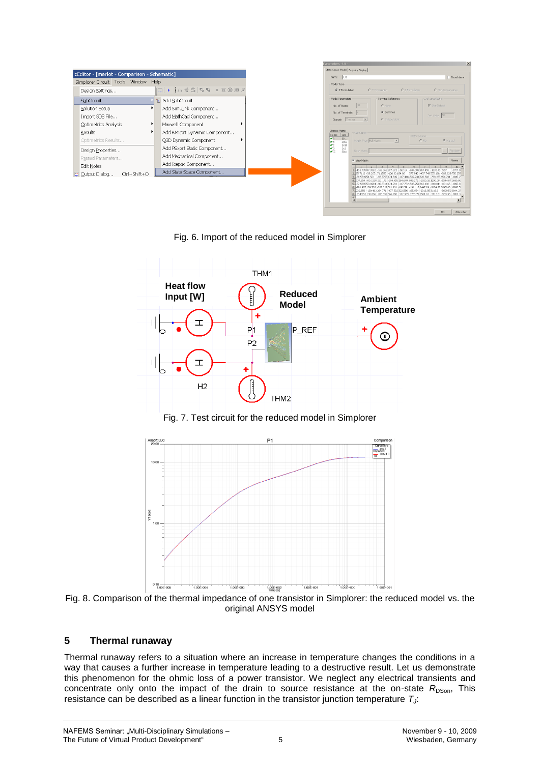|                                              |                                                                                     | $\times$<br>arameters - U1 -                      |                         |                                                                                     |                                                                                                                                                                                                       |
|----------------------------------------------|-------------------------------------------------------------------------------------|---------------------------------------------------|-------------------------|-------------------------------------------------------------------------------------|-------------------------------------------------------------------------------------------------------------------------------------------------------------------------------------------------------|
| icEditor - [merlot - Comparison - Schematic] |                                                                                     | State-Space Model Output / Display                |                         |                                                                                     |                                                                                                                                                                                                       |
|                                              |                                                                                     | Name U1                                           |                         | <b>F</b> Show Name                                                                  |                                                                                                                                                                                                       |
| Simplorer Circuit Tools Window Help          |                                                                                     | Model Type                                        |                         |                                                                                     |                                                                                                                                                                                                       |
| Design Settings                              | $\Box \rightarrow \Box \oplus \Box \oplus \Box \oplus \Box \oplus \Box \oplus \Box$ | C Z Formulation                                   |                         | C Y Formulation                                                                     | C Non-Conservative<br>C S Formulation                                                                                                                                                                 |
| <b>SubCircuit</b>                            | Tel Add SubCircuit                                                                  | Model Parameters                                  |                         | Terminal Reference                                                                  | -Zref Specification                                                                                                                                                                                   |
| ×.<br>Solution Setup                         | Add Simulink Component                                                              | No. of States:                                    |                         | C None                                                                              | <b>V</b> Use Default                                                                                                                                                                                  |
| Import SDB File                              | Add MathCad Component                                                               | No. of Terminals:                                 |                         | Common                                                                              | Zief Value 50                                                                                                                                                                                         |
| Optimetrics Analysis                         | Maxwell Component                                                                   | Domain Thermal                                    | $-$                     | C Independent                                                                       |                                                                                                                                                                                                       |
| Results<br>٠                                 | Add RMxprt Dynamic Component                                                        | Choose Matrix<br>Name Spe                         | Matrix Entry            |                                                                                     |                                                                                                                                                                                                       |
| Optimetrics Results                          | Q3D Dynamic Component                                                               | $\mathcal{F}$ A<br>30<br>30 <sub>2</sub><br>l₩В   | Matrix Type Full Matrix | $\vert \mathbf{v} \vert$                                                            | -Matrix Source<br>@ Manuel<br>$C$ F/e                                                                                                                                                                 |
| Design Properties                            | Add PExprt Static Component                                                         | l e c<br>2x30<br>lvó<br>2x2<br><b>VIC</b><br>30x1 | <b>Enter Matrix</b>     |                                                                                     | Populate                                                                                                                                                                                              |
| Passed Parameters                            | Add Mechanical Component                                                            |                                                   | V View Matrix           |                                                                                     |                                                                                                                                                                                                       |
| Edit Notes                                   | Add Icepak Component                                                                |                                                   |                         |                                                                                     | Viewer<br>10                                                                                                                                                                                          |
| 图 Qutput Dialog<br>Ctrl+Shift+O              | Add State Space Component                                                           |                                                   |                         | 2.55.7112 -38.2071 71.1535 - 126.621                                                | (151.73587.3392 -162.362 287.321 -192.17 -847.086 957.458 -1232.45 1557<br>$-1707.0$<br>588,629,756,259<br>277 942                                                                                    |
|                                              |                                                                                     |                                                   |                         | -96.6314 174.281<br>-291.907 169.726 -322.226581.161 -392.59 -1911.15 2447.89 -3134 | 83 3645 66 - 3936 5<br>2 239.856 -139.462 264.771 -477.532 322.586 1652.54 -2313.95 3116.9 -3609.52 3844.27<br>8 254 551 148 006 -280 992 506 788 -342 349 -1753 78 256 1.84 -3712 54 4533 35 -4854 4 |

Fig. 6. Import of the reduced model in Simplorer



Fig. 7. Test circuit for the reduced model in Simplorer



Fig. 8. Comparison of the thermal impedance of one transistor in Simplorer: the reduced model vs. the original ANSYS model

# **5 Thermal runaway**

Thermal runaway refers to a situation where an increase in temperature changes the conditions in a way that causes a further increase in temperature leading to a destructive result. Let us demonstrate this phenomenon for the ohmic loss of a power transistor. We neglect any electrical transients and concentrate only onto the impact of the drain to source resistance at the on-state  $R_{\text{DSon}}$ , This resistance can be described as a linear function in the transistor junction temperature *TJ*:

CK Abbrecher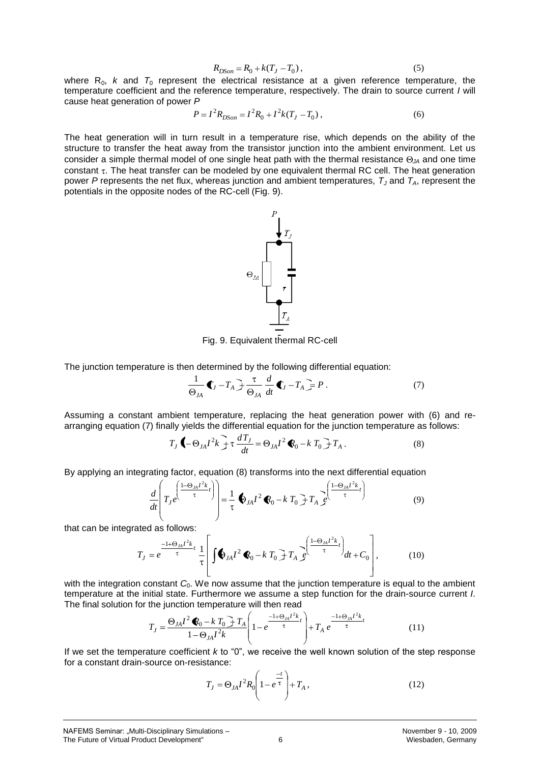$$
R_{DSon} = R_0 + k(T_J - T_0),
$$
\n(5)

where  $R_0$ , *k* and  $T_0$  represent the electrical resistance at a given reference temperature, the temperature coefficient and the reference temperature, respectively. The drain to source current *I* will cause heat generation of power *P*

$$
P = I^2 R_{DSon} = I^2 R_0 + I^2 k (T_J - T_0) ,
$$
 (6)

 $R_{DSm} = R_0 + k(T_0 - T_0)$ , (5)<br>  $R_{DSm} = \int_{R_0}^{R_0} t^2 r^2 R_0 + I^2 k(T_2 - T_0)$ , (6)<br>
The electrical resistance at a given reference temperature, the<br>
then the summersture respectively. The drain to source current *I* will<br>
that i The heat generation will in turn result in a temperature rise, which depends on the ability of the structure to transfer the heat away from the transistor junction into the ambient environment. Let us consider a simple thermal model of one single heat path with the thermal resistance  $\Theta_{JA}$  and one time constant  $\tau$ . The heat transfer can be modeled by one equivalent thermal RC cell. The heat generation power *P* represents the net flux, whereas junction and ambient temperatures, *T<sup>J</sup>* and *TA*, represent the potentials in the opposite nodes of the RC-cell (Fig. 9).

Fig. 9. Equivalent thermal RC-cell

The junction temperature is then determined by the following differential equation:

$$
\frac{1}{\Theta_{JA}} \mathbf{C}_J - T_A \mathbf{F} \frac{\tau}{\Theta_{JA}} \frac{d}{dt} \mathbf{C}_J - T_A \mathbf{F} = P \tag{7}
$$

Assuming a constant ambient temperature, replacing the heat generation power with (6) and rearranging equation (7) finally yields the differential equation for the junction temperature as follows:

$$
T_J \bigodot \partial_{JA} I^2 k \Bigg] \tau \frac{dT_J}{dt} = \Theta_{JA} I^2 \bigodot - k T_0 \Bigg] T_A \,. \tag{8}
$$

By applying an integrating factor, equation (8) transforms into the next differential equation

$$
\frac{d}{dt} \left( T_J e^{\left(\frac{1-\Theta_M I^2 k}{\tau}t\right)} \right) = \frac{1}{\tau} \Phi_{JA} I^2 \Phi_0 - k T_0 \Bigg[ T_A e^{\left(\frac{1-\Theta_{JA} I^2 k}{\tau}t\right)} \tag{9}
$$

that can be integrated as follows:

$$
T_J = e^{\frac{-1+\Theta_M I^2 k}{\tau}} \frac{1}{\tau} \left| \int \bigotimes_{JA} I^2 \bigotimes_{0} -k \, T_0 \bigg] T_A \, \bigg\{^{\frac{1-\Theta_M I^2 k}{\tau}} \bigg\} \, dt + C_0 \right|, \tag{10}
$$

with the integration constant  $C_0$ . We now assume that the junction temperature is equal to the ambient temperature at the initial state. Furthermore we assume a step function for the drain-source current *I*. The final solution for the junction temperature will then read

$$
T_J = \frac{\Theta_{JA}I^2 \bigotimes_0 - k T_0 \bigg] T_A}{1 - \Theta_{JA}I^2 k} \left( 1 - e^{\frac{-1 + \Theta_{JA}I^2 k}{\tau}} \right) + T_A e^{\frac{-1 + \Theta_{JA}I^2 k}{\tau}} \tag{11}
$$

If we set the temperature coefficient *k* to "0", we receive the well known solution of the step response for a constant drain-source on-resistance:

$$
T_J = \Theta_{JA} I^2 R_0 \left( 1 - e^{\frac{-t}{\tau}} \right) + T_A , \qquad (12)
$$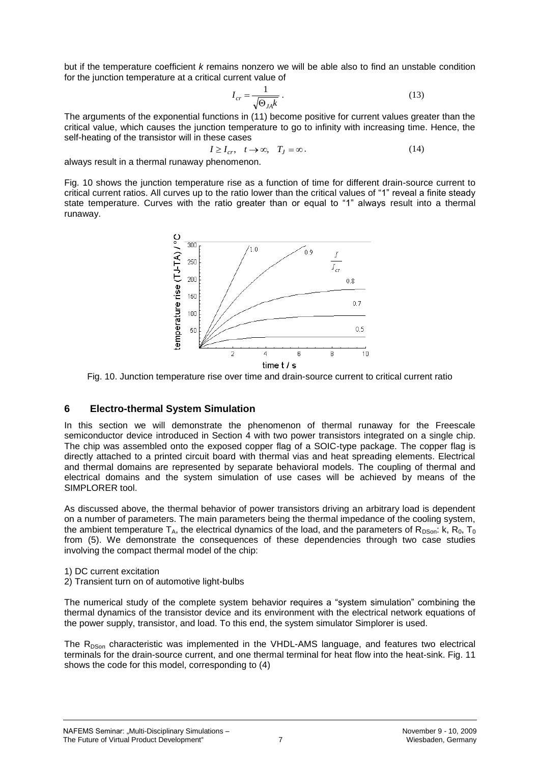but if the temperature coefficient *k* remains nonzero we will be able also to find an unstable condition for the junction temperature at a critical current value of

$$
I_{cr} = \frac{1}{\sqrt{\Theta_{JA}k}} \,. \tag{13}
$$

The arguments of the exponential functions in (11) become positive for current values greater than the critical value, which causes the junction temperature to go to infinity with increasing time. Hence, the self-heating of the transistor will in these cases

$$
I \ge I_{cr}, \quad t \to \infty, \quad T_J = \infty. \tag{14}
$$

always result in a thermal runaway phenomenon.

Fig. 10 shows the junction temperature rise as a function of time for different drain-source current to critical current ratios. All curves up to the ratio lower than the critical values of "1" reveal a finite steady state temperature. Curves with the ratio greater than or equal to "1" always result into a thermal runaway.

temperature rise (TJ-TA) / °C 300  $\theta$  $0<sup>o</sup>$ I 250  $\overline{I_{\rm cr}}$ 200  $0.8$ 150  $0.7$ 100  $0.5$ 50  $\overline{2}$  $\overline{4}$ Ē  $10$ 8 time  $t/s$ 

Fig. 10. Junction temperature rise over time and drain-source current to critical current ratio

#### **6 Electro-thermal System Simulation**

In this section we will demonstrate the phenomenon of thermal runaway for the Freescale semiconductor device introduced in Section 4 with two power transistors integrated on a single chip. The chip was assembled onto the exposed copper flag of a SOIC-type package. The copper flag is directly attached to a printed circuit board with thermal vias and heat spreading elements. Electrical and thermal domains are represented by separate behavioral models. The coupling of thermal and electrical domains and the system simulation of use cases will be achieved by means of the SIMPLORER tool.

As discussed above, the thermal behavior of power transistors driving an arbitrary load is dependent on a number of parameters. The main parameters being the thermal impedance of the cooling system, the ambient temperature  $T_A$ , the electrical dynamics of the load, and the parameters of  $R_{DSon}$ : k,  $R_0$ ,  $T_0$ from (5). We demonstrate the consequences of these dependencies through two case studies involving the compact thermal model of the chip:

1) DC current excitation

2) Transient turn on of automotive light-bulbs

The numerical study of the complete system behavior requires a "system simulation" combining the thermal dynamics of the transistor device and its environment with the electrical network equations of the power supply, transistor, and load. To this end, the system simulator Simplorer is used.

The R<sub>DSon</sub> characteristic was implemented in the VHDL-AMS language, and features two electrical terminals for the drain-source current, and one thermal terminal for heat flow into the heat-sink. Fig. 11 shows the code for this model, corresponding to (4)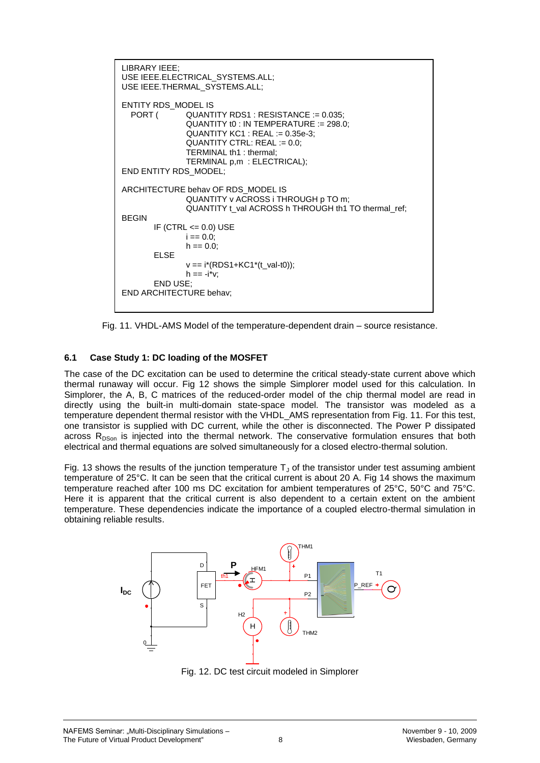```
LIBRARY IEEE;
USE IEEE.ELECTRICAL_SYSTEMS.ALL;
USE IEEE.THERMAL_SYSTEMS.ALL;
ENTITY RDS_MODEL IS<br>PORT (QUANT
               QUANTITY RDS1 : RESISTANCE := 0.035;QUANTITY t0 : IN TEMPERATURE := 298.0;
                QUANTITY KC1 : REAL := 0.35e-3; 
               QUANTITY CTRL: REAL := 0.0;
               TERMINAL th1 : thermal;
                TERMINAL p,m : ELECTRICAL);
END ENTITY RDS_MODEL;
ARCHITECTURE behav OF RDS_MODEL IS
                QUANTITY v ACROSS i THROUGH p TO m;
               QUANTITY t_val ACROSS h THROUGH th1 TO thermal_ref;
BEGIN
       IF (CTRL \le 0.0) USE
               i = 0.0;
               h == 0.0ELSE
               v == i*(RDS1+KC1*(t_val-t0));h == -i^*v:
       END USE;
END ARCHITECTURE behav;
```
Fig. 11. VHDL-AMS Model of the temperature-dependent drain – source resistance.

#### **6.1 Case Study 1: DC loading of the MOSFET**

The case of the DC excitation can be used to determine the critical steady-state current above which thermal runaway will occur. Fig 12 shows the simple Simplorer model used for this calculation. In Simplorer, the A, B, C matrices of the reduced-order model of the chip thermal model are read in directly using the built-in multi-domain state-space model. The transistor was modeled as a temperature dependent thermal resistor with the VHDL\_AMS representation from Fig. 11. For this test, one transistor is supplied with DC current, while the other is disconnected. The Power P dissipated across  $R_{DSon}$  is injected into the thermal network. The conservative formulation ensures that both electrical and thermal equations are solved simultaneously for a closed electro-thermal solution.

Fig. 13 shows the results of the junction temperature  $T<sub>u</sub>$  of the transistor under test assuming ambient temperature of 25°C. It can be seen that the critical current is about 20 A. Fig 14 shows the maximum temperature reached after 100 ms DC excitation for ambient temperatures of 25°C, 50°C and 75°C. Here it is apparent that the critical current is also dependent to a certain extent on the ambient temperature. These dependencies indicate the importance of a coupled electro-thermal simulation in obtaining reliable results.



Fig. 12. DC test circuit modeled in Simplorer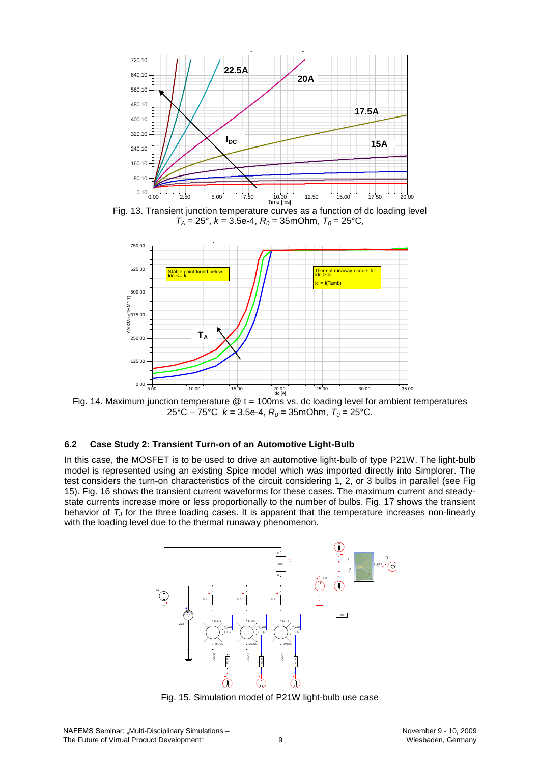

Fig. 13. Transient junction temperature curves as a function of dc loading level  $T_A = 25^\circ$ ,  $k = 3.5e-4$ ,  $R_0 = 35mO$ hm,  $T_0 = 25^\circ$ C,



Fig. 14. Maximum junction temperature  $@t = 100 \text{ms}$  vs. dc loading level for ambient temperatures 25°C – 75°C  $k = 3.5e-4$ ,  $R_0 = 35mOhm$ ,  $T_0 = 25$ °C.

#### **6.2 Case Study 2: Transient Turn-on of an Automotive Light-Bulb**

In this case, the MOSFET is to be used to drive an automotive light-bulb of type P21W. The light-bulb model is represented using an existing Spice model which was imported directly into Simplorer. The test considers the turn-on characteristics of the circuit considering 1, 2, or 3 bulbs in parallel (see Fig 15). Fig. 16 shows the transient current waveforms for these cases. The maximum current and steadystate currents increase more or less proportionally to the number of bulbs. Fig. 17 shows the transient behavior of *T<sup>J</sup>* for the three loading cases. It is apparent that the temperature increases non-linearly with the loading level due to the thermal runaway phenomenon.



Fig. 15. Simulation model of P21W light-bulb use case

3 lamps 2 lamps

0.70